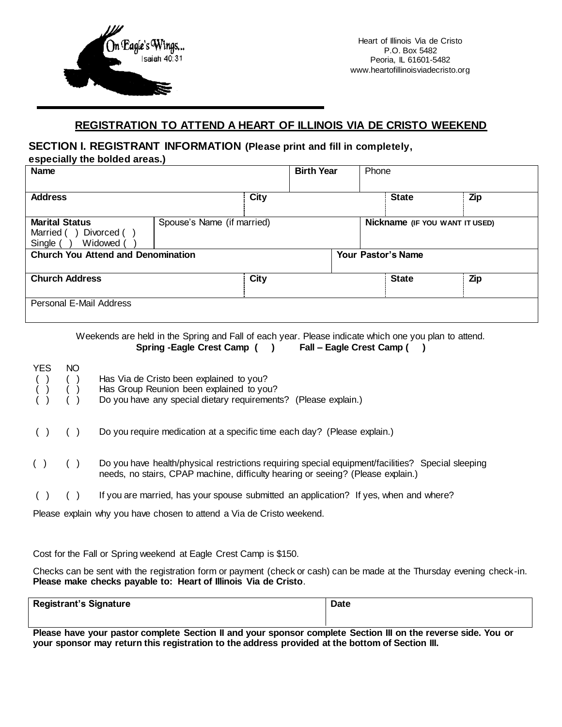

## **REGISTRATION TO ATTEND A HEART OF ILLINOIS VIA DE CRISTO WEEKEND**

## **SECTION I. REGISTRANT INFORMATION (Please print and fill in completely,**

**especially the bolded areas.)**

|                                           | <b>Birth Year</b> | Phone                                      |                           |  |
|-------------------------------------------|-------------------|--------------------------------------------|---------------------------|--|
|                                           |                   | <b>State</b>                               | Zip                       |  |
|                                           |                   | Nickname (IF YOU WANT IT USED)             |                           |  |
| <b>Church You Attend and Denomination</b> |                   |                                            |                           |  |
|                                           |                   | <b>State</b>                               | Zip                       |  |
|                                           |                   | City<br>Spouse's Name (if married)<br>City | <b>Your Pastor's Name</b> |  |

Weekends are held in the Spring and Fall of each year. Please indicate which one you plan to attend. **Spring -Eagle Crest Camp ( ) Fall – Eagle Crest Camp ( )** 

| <b>YES</b><br>$\begin{matrix} \begin{pmatrix} 1 \\ 1 \end{pmatrix} & \begin{pmatrix} 1 \\ 1 \end{pmatrix} \\ \begin{pmatrix} 1 \\ 1 \end{pmatrix} & \begin{pmatrix} 1 \\ 1 \end{pmatrix} \end{matrix}$<br>( ) | NO. | Has Via de Cristo been explained to you?<br>Has Group Reunion been explained to you?<br>Do you have any special dietary requirements? (Please explain.)                              |
|---------------------------------------------------------------------------------------------------------------------------------------------------------------------------------------------------------------|-----|--------------------------------------------------------------------------------------------------------------------------------------------------------------------------------------|
|                                                                                                                                                                                                               |     | Do you require medication at a specific time each day? (Please explain.)                                                                                                             |
| (                                                                                                                                                                                                             |     | Do you have health/physical restrictions requiring special equipment/facilities? Special sleeping<br>needs, no stairs, CPAP machine, difficulty hearing or seeing? (Please explain.) |
|                                                                                                                                                                                                               |     | If you are married, has your spouse submitted an application? If yes, when and where?                                                                                                |

Please explain why you have chosen to attend a Via de Cristo weekend.

Cost for the Fall or Spring weekend at Eagle Crest Camp is \$150.

Checks can be sent with the registration form or payment (check or cash) can be made at the Thursday evening check-in. **Please make checks payable to: Heart of Illinois Via de Cristo**.

| <b>Registrant's Signature</b> | <b>Date</b> |  |  |  |  |
|-------------------------------|-------------|--|--|--|--|
|                               |             |  |  |  |  |

**Please have your pastor complete Section II and your sponsor complete Section III on the reverse side. You or your sponsor may return this registration to the address provided at the bottom of Section III.**